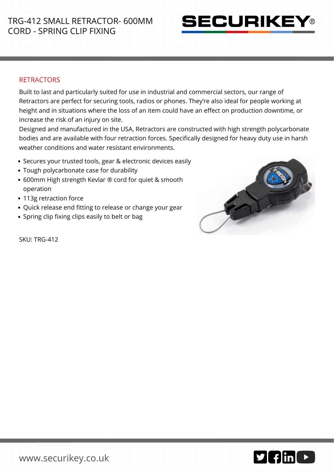

## **RETRACTORS**

Built to last and particularly suited for use in industrial and commercial sectors, our range of Retractors are perfect for securing tools, radios or phones. They're also ideal for people working at height and in situations where the loss of an item could have an effect on production downtime, or increase the risk of an injury on site.

Designed and manufactured in the USA, Retractors are constructed with high strength polycarbonate bodies and are available with four retraction forces. Specifically designed for heavy duty use in harsh weather conditions and water resistant environments.

- Secures your trusted tools, gear & electronic devices easily
- Tough polycarbonate case for durability
- 600mm High strength Kevlar ® cord for quiet & smooth operation
- 113g retraction force
- Quick release end fitting to release or change your gear
- Spring clip fixing clips easily to belt or bag



SKU: TRG-412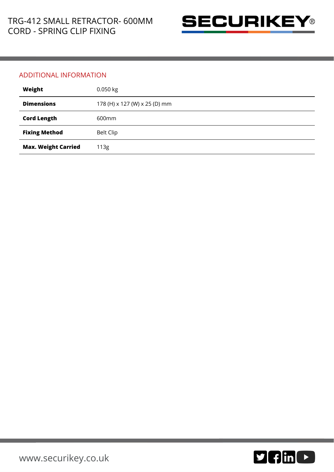

## ADDITIONAL INFORMATION

| Weight                     | $0.050$ kg                    |
|----------------------------|-------------------------------|
| <b>Dimensions</b>          | 178 (H) x 127 (W) x 25 (D) mm |
| <b>Cord Length</b>         | 600 <sub>mm</sub>             |
| <b>Fixing Method</b>       | <b>Belt Clip</b>              |
| <b>Max. Weight Carried</b> | 113g                          |

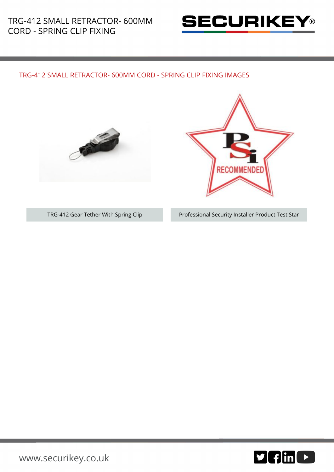

## TRG-412 SMALL RETRACTOR- 600MM CORD - SPRING CLIP FIXING IMAGES





TRG-412 Gear Tether With Spring Clip Professional Security Installer Product Test Star